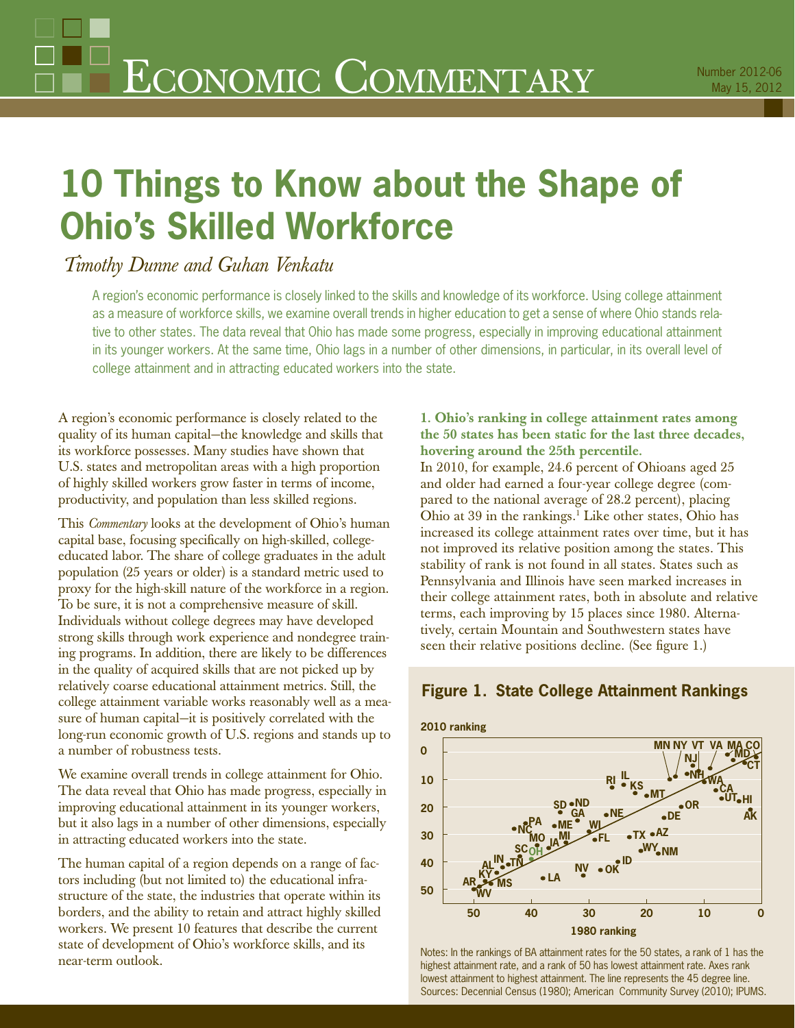# **10 Things to Know about the Shape of Ohio's Skilled Workforce**

# *Timothy Dunne and Guhan Venkatu*

A region's economic performance is closely linked to the skills and knowledge of its workforce. Using college attainment as a measure of workforce skills, we examine overall trends in higher education to get a sense of where Ohio stands relative to other states. The data reveal that Ohio has made some progress, especially in improving educational attainment in its younger workers. At the same time, Ohio lags in a number of other dimensions, in particular, in its overall level of college attainment and in attracting educated workers into the state.

A region's economic performance is closely related to the quality of its human capital—the knowledge and skills that its workforce possesses. Many studies have shown that U.S. states and metropolitan areas with a high proportion of highly skilled workers grow faster in terms of income, productivity, and population than less skilled regions.

This *Commentary* looks at the development of Ohio's human capital base, focusing specifically on high-skilled, collegeeducated labor. The share of college graduates in the adult population (25 years or older) is a standard metric used to proxy for the high-skill nature of the workforce in a region. To be sure, it is not a comprehensive measure of skill. Individuals without college degrees may have developed strong skills through work experience and nondegree training programs. In addition, there are likely to be differences in the quality of acquired skills that are not picked up by relatively coarse educational attainment metrics. Still, the college attainment variable works reasonably well as a measure of human capital—it is positively correlated with the long-run economic growth of U.S. regions and stands up to a number of robustness tests.

We examine overall trends in college attainment for Ohio. The data reveal that Ohio has made progress, especially in improving educational attainment in its younger workers, but it also lags in a number of other dimensions, especially in attracting educated workers into the state.

The human capital of a region depends on a range of factors including (but not limited to) the educational infrastructure of the state, the industries that operate within its borders, and the ability to retain and attract highly skilled workers. We present 10 features that describe the current state of development of Ohio's workforce skills, and its near-term outlook.

### **1. Ohio's ranking in college attainment rates among the 50 states has been static for the last three decades, hovering around the 25th percentile.**

In 2010, for example, 24.6 percent of Ohioans aged 25 and older had earned a four-year college degree (compared to the national average of 28.2 percent), placing Ohio at 39 in the rankings.<sup>1</sup> Like other states, Ohio has increased its college attainment rates over time, but it has not improved its relative position among the states. This stability of rank is not found in all states. States such as Pennsylvania and Illinois have seen marked increases in their college attainment rates, both in absolute and relative terms, each improving by 15 places since 1980. Alternatively, certain Mountain and Southwestern states have seen their relative positions decline. (See figure 1.)



## **Figure 1. State College Attainment Rankings**

Notes: In the rankings of BA attainment rates for the 50 states, a rank of 1 has the highest attainment rate, and a rank of 50 has lowest attainment rate. Axes rank lowest attainment to highest attainment. The line represents the 45 degree line. Sources: Decennial Census (1980); American Community Survey (2010); IPUMS.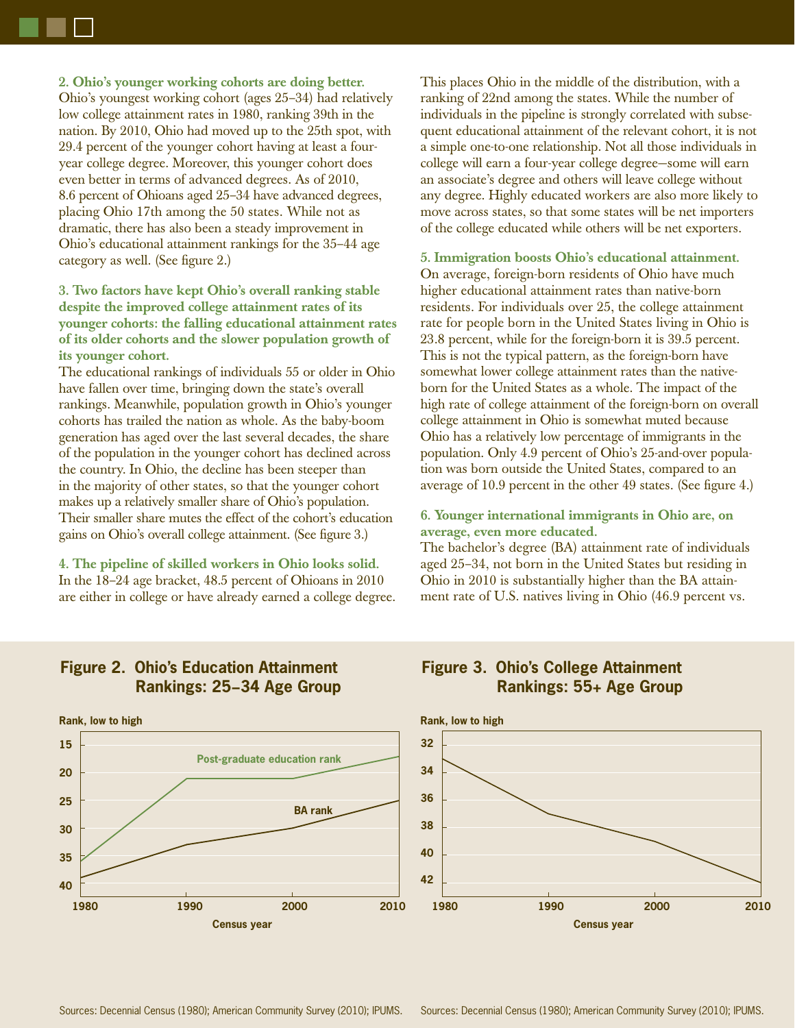**2. Ohio's younger working cohorts are doing better.**  Ohio's youngest working cohort (ages 25–34) had relatively low college attainment rates in 1980, ranking 39th in the nation. By 2010, Ohio had moved up to the 25th spot, with 29.4 percent of the younger cohort having at least a fouryear college degree. Moreover, this younger cohort does even better in terms of advanced degrees. As of 2010, 8.6 percent of Ohioans aged 25–34 have advanced degrees, placing Ohio 17th among the 50 states. While not as dramatic, there has also been a steady improvement in Ohio's educational attainment rankings for the 35–44 age category as well. (See figure 2.)

#### **3. Two factors have kept Ohio's overall ranking stable despite the improved college attainment rates of its younger cohorts: the falling educational attainment rates of its older cohorts and the slower population growth of its younger cohort.**

The educational rankings of individuals 55 or older in Ohio have fallen over time, bringing down the state's overall rankings. Meanwhile, population growth in Ohio's younger cohorts has trailed the nation as whole. As the baby-boom generation has aged over the last several decades, the share of the population in the younger cohort has declined across the country. In Ohio, the decline has been steeper than in the majority of other states, so that the younger cohort makes up a relatively smaller share of Ohio's population. Their smaller share mutes the effect of the cohort's education gains on Ohio's overall college attainment. (See figure 3.)

**4. The pipeline of skilled workers in Ohio looks solid.** In the 18–24 age bracket, 48.5 percent of Ohioans in 2010 are either in college or have already earned a college degree. This places Ohio in the middle of the distribution, with a ranking of 22nd among the states. While the number of individuals in the pipeline is strongly correlated with subsequent educational attainment of the relevant cohort, it is not a simple one-to-one relationship. Not all those individuals in college will earn a four-year college degree—some will earn an associate's degree and others will leave college without any degree. Highly educated workers are also more likely to move across states, so that some states will be net importers of the college educated while others will be net exporters.

#### **5. Immigration boosts Ohio's educational attainment.**  On average, foreign-born residents of Ohio have much higher educational attainment rates than native-born residents. For individuals over 25, the college attainment rate for people born in the United States living in Ohio is 23.8 percent, while for the foreign-born it is 39.5 percent. This is not the typical pattern, as the foreign-born have somewhat lower college attainment rates than the nativeborn for the United States as a whole. The impact of the high rate of college attainment of the foreign-born on overall college attainment in Ohio is somewhat muted because Ohio has a relatively low percentage of immigrants in the population. Only 4.9 percent of Ohio's 25-and-over population was born outside the United States, compared to an average of 10.9 percent in the other 49 states. (See figure 4.)

#### **6. Younger international immigrants in Ohio are, on average, even more educated.**

**Figure 3. Ohio's College Attainment** 

The bachelor's degree (BA) attainment rate of individuals aged 25–34, not born in the United States but residing in Ohio in 2010 is substantially higher than the BA attainment rate of U.S. natives living in Ohio (46.9 percent vs.

**Rankings: 55+ Age Group**



## **Figure 2. Ohio's Education Attainment Rankings: 25−34 Age Group**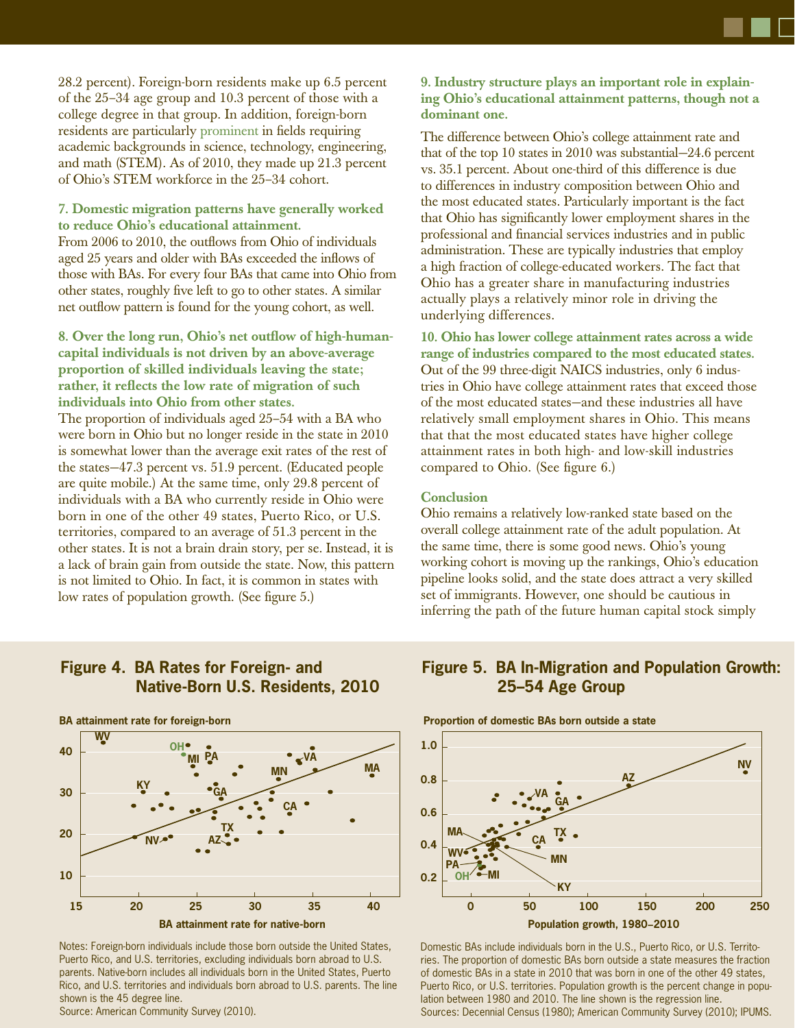28.2 percent). Foreign-born residents make up 6.5 percent of the 25–34 age group and 10.3 percent of those with a college degree in that group. In addition, foreign-born residents are particularly prominent in fields requiring academic backgrounds in science, technology, engineering, and math (STEM). As of 2010, they made up 21.3 percent of Ohio's STEM workforce in the 25–34 cohort.

**7. Domestic migration patterns have generally worked to reduce Ohio's educational attainment.**  From 2006 to 2010, the outflows from Ohio of individuals aged 25 years and older with BAs exceeded the inflows of those with BAs. For every four BAs that came into Ohio from other states, roughly five left to go to other states. A similar net outflow pattern is found for the young cohort, as well.

8. Over the long run, Ohio's net outflow of high-human**capital individuals is not driven by an above-average proportion of skilled individuals leaving the state;**  rather, it reflects the low rate of migration of such **individuals into Ohio from other states.**  The proportion of individuals aged 25–54 with a BA who were born in Ohio but no longer reside in the state in 2010 is somewhat lower than the average exit rates of the rest of the states—47.3 percent vs. 51.9 percent. (Educated people are quite mobile.) At the same time, only 29.8 percent of individuals with a BA who currently reside in Ohio were born in one of the other 49 states, Puerto Rico, or U.S. territories, compared to an average of 51.3 percent in the other states. It is not a brain drain story, per se. Instead, it is a lack of brain gain from outside the state. Now, this pattern is not limited to Ohio. In fact, it is common in states with low rates of population growth. (See figure 5.)

#### **9. Industry structure plays an important role in explaining Ohio's educational attainment patterns, though not a dominant one.**

The difference between Ohio's college attainment rate and that of the top 10 states in 2010 was substantial—24.6 percent vs. 35.1 percent. About one-third of this difference is due to differences in industry composition between Ohio and the most educated states. Particularly important is the fact that Ohio has significantly lower employment shares in the professional and financial services industries and in public administration. These are typically industries that employ a high fraction of college-educated workers. The fact that Ohio has a greater share in manufacturing industries actually plays a relatively minor role in driving the underlying differences.

**10. Ohio has lower college attainment rates across a wide range of industries compared to the most educated states.** Out of the 99 three-digit NAICS industries, only 6 industries in Ohio have college attainment rates that exceed those of the most educated states—and these industries all have relatively small employment shares in Ohio. This means that that the most educated states have higher college attainment rates in both high- and low-skill industries compared to Ohio. (See figure 6.)

#### **Conclusion**

Ohio remains a relatively low-ranked state based on the overall college attainment rate of the adult population. At the same time, there is some good news. Ohio's young working cohort is moving up the rankings, Ohio's education pipeline looks solid, and the state does attract a very skilled set of immigrants. However, one should be cautious in inferring the path of the future human capital stock simply

## **Figure 4. BA Rates for Foreign- and Native-Born U.S. Residents, 2010**



Notes: Foreign-born individuals include those born outside the United States, Puerto Rico, and U.S. territories, excluding individuals born abroad to U.S. parents. Native-born includes all individuals born in the United States, Puerto Rico, and U.S. territories and individuals born abroad to U.S. parents. The line shown is the 45 degree line.

Source: American Community Survey (2010).

## **Figure 5. BA In-Migration and Population Growth: 25–54 Age Group**



Domestic BAs include individuals born in the U.S., Puerto Rico, or U.S. Territories. The proportion of domestic BAs born outside a state measures the fraction of domestic BAs in a state in 2010 that was born in one of the other 49 states, Puerto Rico, or U.S. territories. Population growth is the percent change in population between 1980 and 2010. The line shown is the regression line. Sources: Decennial Census (1980); American Community Survey (2010); IPUMS.